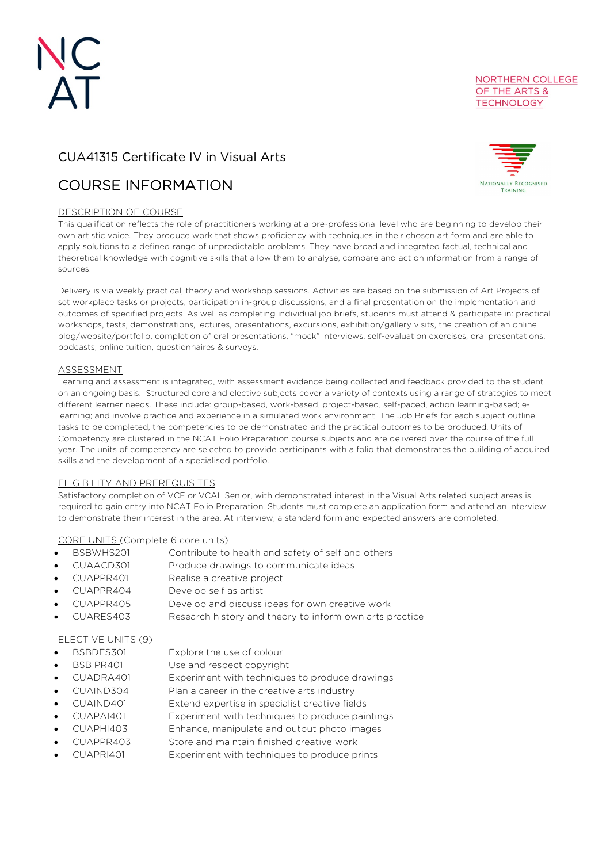# CUA41315 Certificate IV in Visual Arts

# COURSE INFORMATION

# DESCRIPTION OF COURSE

NATIONALLY RECOGNISED

TRAINING

NORTHERN COLLEGE OF THE ARTS & **TECHNOLOGY** 

This qualification reflects the role of practitioners working at a pre-professional level who are beginning to develop their own artistic voice. They produce work that shows proficiency with techniques in their chosen art form and are able to apply solutions to a defined range of unpredictable problems. They have broad and integrated factual, technical and theoretical knowledge with cognitive skills that allow them to analyse, compare and act on information from a range of sources.

Delivery is via weekly practical, theory and workshop sessions. Activities are based on the submission of Art Projects of set workplace tasks or projects, participation in-group discussions, and a final presentation on the implementation and outcomes of specified projects. As well as completing individual job briefs, students must attend & participate in: practical workshops, tests, demonstrations, lectures, presentations, excursions, exhibition/gallery visits, the creation of an online blog/website/portfolio, completion of oral presentations, "mock" interviews, self-evaluation exercises, oral presentations, podcasts, online tuition, questionnaires & surveys.

# ASSESSMENT

Learning and assessment is integrated, with assessment evidence being collected and feedback provided to the student on an ongoing basis. Structured core and elective subjects cover a variety of contexts using a range of strategies to meet different learner needs. These include: group-based, work-based, project-based, self-paced, action learning-based; elearning; and involve practice and experience in a simulated work environment. The Job Briefs for each subject outline tasks to be completed, the competencies to be demonstrated and the practical outcomes to be produced. Units of Competency are clustered in the NCAT Folio Preparation course subjects and are delivered over the course of the full year. The units of competency are selected to provide participants with a folio that demonstrates the building of acquired skills and the development of a specialised portfolio.

### ELIGIBILITY AND PREREQUISITES

Satisfactory completion of VCE or VCAL Senior, with demonstrated interest in the Visual Arts related subject areas is required to gain entry into NCAT Folio Preparation. Students must complete an application form and attend an interview to demonstrate their interest in the area. At interview, a standard form and expected answers are completed.

# CORE UNITS (Complete 6 core units)

- BSBWHS201 Contribute to health and safety of self and others
- CUAACD301 Produce drawings to communicate ideas
- CUAPPR401 Realise a creative project
- CUAPPR404 Develop self as artist
- CUAPPR405 Develop and discuss ideas for own creative work
- CUARES403 Research history and theory to inform own arts practice

# ELECTIVE UNITS (9)

- BSBDES301 Explore the use of colour
- BSBIPR401 Use and respect copyright
- CUADRA401 Experiment with techniques to produce drawings
- CUAIND304 Plan a career in the creative arts industry
- CUAIND401 Extend expertise in specialist creative fields
- CUAPAI401 Experiment with techniques to produce paintings
- CUAPHI403 Enhance, manipulate and output photo images
- CUAPPR403 Store and maintain finished creative work
- CUAPRI401 Experiment with techniques to produce prints